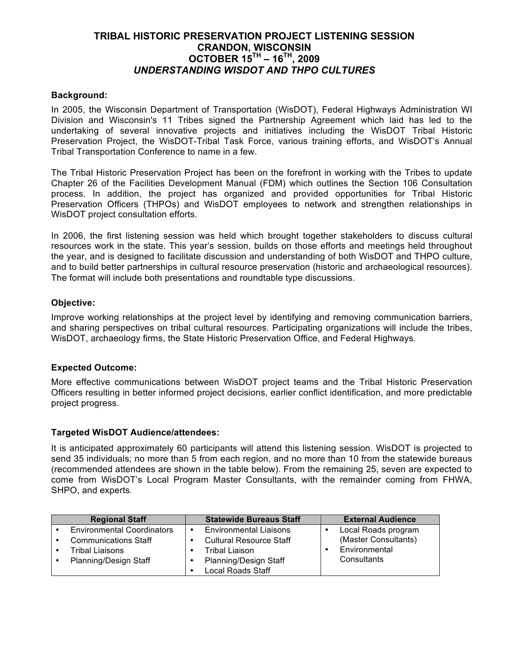# **TRIBAL HISTORIC PRESERVATION PROJECT LISTENING SESSION CRANDON, WISCONSIN OCTOBER 15TH – 16TH, 2009** *UNDERSTANDING WISDOT AND THPO CULTURES*

#### **Background:**

In 2005, the Wisconsin Department of Transportation (WisDOT), Federal Highways Administration WI Division and Wisconsin's 11 Tribes signed the Partnership Agreement which laid has led to the undertaking of several innovative projects and initiatives including the WisDOT Tribal Historic Preservation Project, the WisDOT-Tribal Task Force, various training efforts, and WisDOT's Annual Tribal Transportation Conference to name in a few.

The Tribal Historic Preservation Project has been on the forefront in working with the Tribes to update Chapter 26 of the Facilities Development Manual (FDM) which outlines the Section 106 Consultation process. In addition, the project has organized and provided opportunities for Tribal Historic Preservation Officers (THPOs) and WisDOT employees to network and strengthen relationships in WisDOT project consultation efforts.

In 2006, the first listening session was held which brought together stakeholders to discuss cultural resources work in the state. This year's session, builds on those efforts and meetings held throughout the year, and is designed to facilitate discussion and understanding of both WisDOT and THPO culture, and to build better partnerships in cultural resource preservation (historic and archaeological resources). The format will include both presentations and roundtable type discussions.

#### **Objective:**

Improve working relationships at the project level by identifying and removing communication barriers, and sharing perspectives on tribal cultural resources. Participating organizations will include the tribes, WisDOT, archaeology firms, the State Historic Preservation Office, and Federal Highways.

## **Expected Outcome:**

More effective communications between WisDOT project teams and the Tribal Historic Preservation Officers resulting in better informed project decisions, earlier conflict identification, and more predictable project progress.

#### **Targeted WisDOT Audience/attendees:**

It is anticipated approximately 60 participants will attend this listening session. WisDOT is projected to send 35 individuals; no more than 5 from each region, and no more than 10 from the statewide bureaus (recommended attendees are shown in the table below). From the remaining 25, seven are expected to come from WisDOT's Local Program Master Consultants, with the remainder coming from FHWA, SHPO, and experts.

| <b>Regional Staff</b>             | <b>Statewide Bureaus Staff</b>             | <b>External Audience</b> |  |
|-----------------------------------|--------------------------------------------|--------------------------|--|
| <b>Environmental Coordinators</b> | <b>Environmental Liaisons</b><br>$\bullet$ | Local Roads program      |  |
| <b>Communications Staff</b>       | <b>Cultural Resource Staff</b>             | (Master Consultants)     |  |
| Tribal Liaisons                   | Tribal Liaison                             | Environmental            |  |
| Planning/Design Staff             | <b>Planning/Design Staff</b>               | Consultants              |  |
|                                   | Local Roads Staff<br>٠                     |                          |  |